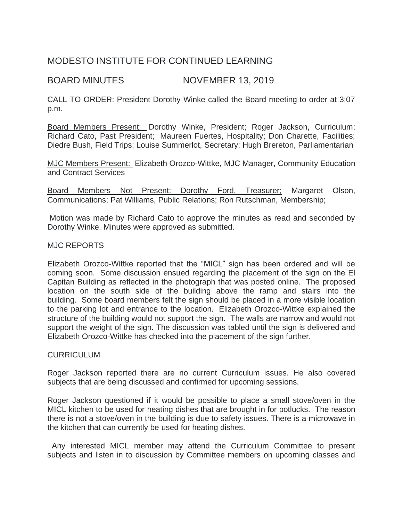# MODESTO INSTITUTE FOR CONTINUED LEARNING

## BOARD MINUTES NOVEMBER 13, 2019

CALL TO ORDER: President Dorothy Winke called the Board meeting to order at 3:07 p.m.

Board Members Present: Dorothy Winke, President; Roger Jackson, Curriculum; Richard Cato, Past President; Maureen Fuertes, Hospitality; Don Charette, Facilities; Diedre Bush, Field Trips; Louise Summerlot, Secretary; Hugh Brereton, Parliamentarian

MJC Members Present: Elizabeth Orozco-Wittke, MJC Manager, Community Education and Contract Services

Board Members Not Present: Dorothy Ford, Treasurer; Margaret Olson, Communications; Pat Williams, Public Relations; Ron Rutschman, Membership;

Motion was made by Richard Cato to approve the minutes as read and seconded by Dorothy Winke. Minutes were approved as submitted.

## MJC REPORTS

Elizabeth Orozco-Wittke reported that the "MICL" sign has been ordered and will be coming soon. Some discussion ensued regarding the placement of the sign on the El Capitan Building as reflected in the photograph that was posted online. The proposed location on the south side of the building above the ramp and stairs into the building. Some board members felt the sign should be placed in a more visible location to the parking lot and entrance to the location. Elizabeth Orozco-Wittke explained the structure of the building would not support the sign. The walls are narrow and would not support the weight of the sign. The discussion was tabled until the sign is delivered and Elizabeth Orozco-Wittke has checked into the placement of the sign further.

#### CURRICULUM

Roger Jackson reported there are no current Curriculum issues. He also covered subjects that are being discussed and confirmed for upcoming sessions.

Roger Jackson questioned if it would be possible to place a small stove/oven in the MICL kitchen to be used for heating dishes that are brought in for potlucks. The reason there is not a stove/oven in the building is due to safety issues. There is a microwave in the kitchen that can currently be used for heating dishes.

 Any interested MICL member may attend the Curriculum Committee to present subjects and listen in to discussion by Committee members on upcoming classes and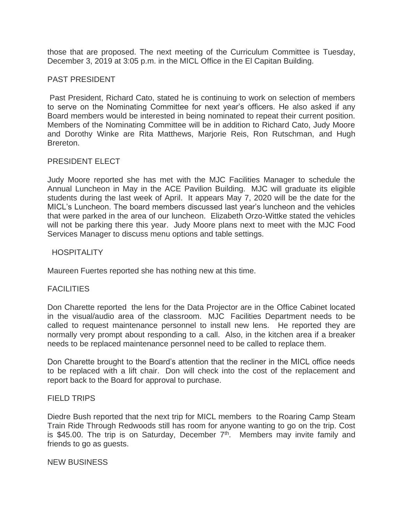those that are proposed. The next meeting of the Curriculum Committee is Tuesday, December 3, 2019 at 3:05 p.m. in the MICL Office in the El Capitan Building.

## PAST PRESIDENT

Past President, Richard Cato, stated he is continuing to work on selection of members to serve on the Nominating Committee for next year's officers. He also asked if any Board members would be interested in being nominated to repeat their current position. Members of the Nominating Committee will be in addition to Richard Cato, Judy Moore and Dorothy Winke are Rita Matthews, Marjorie Reis, Ron Rutschman, and Hugh Brereton.

#### PRESIDENT ELECT

Judy Moore reported she has met with the MJC Facilities Manager to schedule the Annual Luncheon in May in the ACE Pavilion Building. MJC will graduate its eligible students during the last week of April. It appears May 7, 2020 will be the date for the MICL's Luncheon. The board members discussed last year's luncheon and the vehicles that were parked in the area of our luncheon. Elizabeth Orzo-Wittke stated the vehicles will not be parking there this year. Judy Moore plans next to meet with the MJC Food Services Manager to discuss menu options and table settings.

## **HOSPITALITY**

Maureen Fuertes reported she has nothing new at this time.

## FACILITIES

Don Charette reported the lens for the Data Projector are in the Office Cabinet located in the visual/audio area of the classroom. MJC Facilities Department needs to be called to request maintenance personnel to install new lens. He reported they are normally very prompt about responding to a call. Also, in the kitchen area if a breaker needs to be replaced maintenance personnel need to be called to replace them.

Don Charette brought to the Board's attention that the recliner in the MICL office needs to be replaced with a lift chair. Don will check into the cost of the replacement and report back to the Board for approval to purchase.

#### FIELD TRIPS

Diedre Bush reported that the next trip for MICL members to the Roaring Camp Steam Train Ride Through Redwoods still has room for anyone wanting to go on the trip. Cost is \$45.00. The trip is on Saturday, December  $7<sup>th</sup>$ . Members may invite family and friends to go as guests.

#### NEW BUSINESS